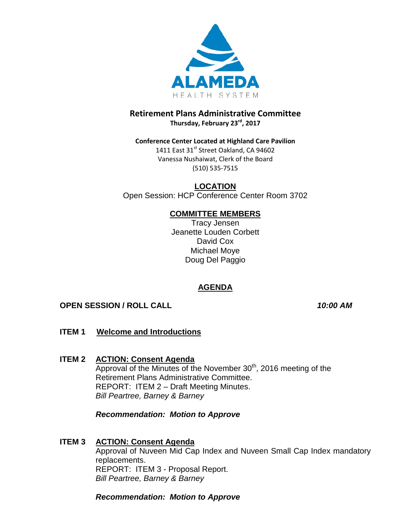

# **Retirement Plans Administrative Committee Thursday, February 23rd, 2017**

**Conference Center Located at Highland Care Pavilion** 1411 East 31st Street Oakland, CA 94602 Vanessa Nushaiwat, Clerk of the Board (510) 535-7515

**LOCATION** Open Session: HCP Conference Center Room 3702

## **COMMITTEE MEMBERS**

Tracy Jensen Jeanette Louden Corbett David Cox Michael Moye Doug Del Paggio

# **AGENDA**

# **OPEN SESSION / ROLL CALL** *10:00 AM*

- **ITEM 1 Welcome and Introductions**
- **ITEM 2 ACTION: Consent Agenda** Approval of the Minutes of the November  $30<sup>th</sup>$ , 2016 meeting of the Retirement Plans Administrative Committee. REPORT: ITEM 2 – Draft Meeting Minutes. *Bill Peartree, Barney & Barney*

## *Recommendation: Motion to Approve*

## **ITEM 3 ACTION: Consent Agenda**

Approval of Nuveen Mid Cap Index and Nuveen Small Cap Index mandatory replacements. REPORT: ITEM 3 - Proposal Report. *Bill Peartree, Barney & Barney*

*Recommendation: Motion to Approve*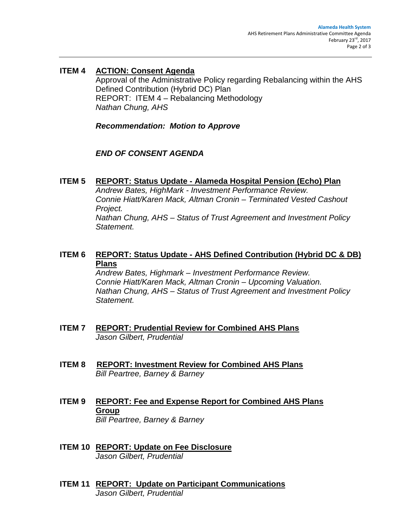## **ITEM 4 ACTION: Consent Agenda**

Approval of the Administrative Policy regarding Rebalancing within the AHS Defined Contribution (Hybrid DC) Plan REPORT: ITEM 4 – Rebalancing Methodology *Nathan Chung, AHS*

*Recommendation: Motion to Approve*

## *END OF CONSENT AGENDA*

### **ITEM 5 REPORT: Status Update - Alameda Hospital Pension (Echo) Plan**

*Andrew Bates, HighMark - Investment Performance Review. Connie Hiatt/Karen Mack, Altman Cronin – Terminated Vested Cashout Project.*

*Nathan Chung, AHS – Status of Trust Agreement and Investment Policy Statement.*

# **ITEM 6 REPORT: Status Update - AHS Defined Contribution (Hybrid DC & DB) Plans**

*Andrew Bates, Highmark – Investment Performance Review. Connie Hiatt/Karen Mack, Altman Cronin – Upcoming Valuation. Nathan Chung, AHS – Status of Trust Agreement and Investment Policy Statement.*

- **ITEM 7 REPORT: Prudential Review for Combined AHS Plans** *Jason Gilbert, Prudential*
- **ITEM 8 REPORT: Investment Review for Combined AHS Plans**  *Bill Peartree, Barney & Barney*
- **ITEM 9 REPORT: Fee and Expense Report for Combined AHS Plans Group** *Bill Peartree, Barney & Barney*
- **ITEM 10 REPORT: Update on Fee Disclosure** *Jason Gilbert, Prudential*
- **ITEM 11 REPORT: Update on Participant Communications** *Jason Gilbert, Prudential*